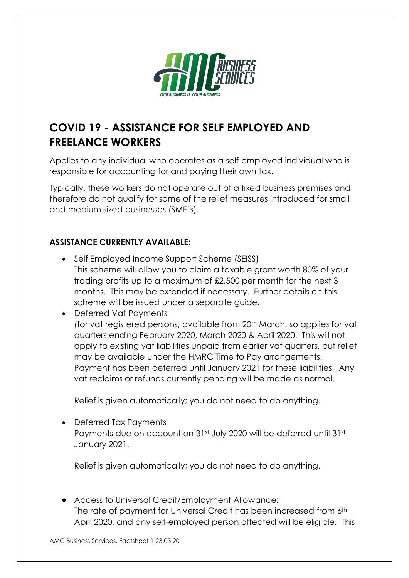

## **COVID 19 - ASSISTANCE FOR SELF EMPLOYED AND FREELANCE WORKERS**

Applies to any individual who operates as a self-employed individual who is responsible for accounting for and paying their own tax.

Typically, these workers do not operate out of a fixed business premises and therefore do not qualify for some of the relief measures introduced for small and medium sized businesses (SME's).

## **ASSISTANCE CURRENTLY AVAILABLE:**

• Self Employed Income Support Scheme (SEISS) This scheme will allow you to claim a taxable grant worth 80% of your trading profits up to a maximum of £2,500 per month for the next 3 months. This may be extended if necessary. Further details on this scheme will be issued under a separate guide.

• Deferred Vat Payments (for vat registered persons, available from 20<sup>th</sup> March, so applies for vat quarters ending February 2020, March 2020 & April 2020. This will not apply to existing vat liabilities unpaid from earlier vat quarters, but relief may be available under the HMRC Time to Pay arrangements. Payment has been deferred until January 2021 for these liabilities. Any vat reclaims or refunds currently pending will be made as normal.

Relief is given automatically; you do not need to do anything.

• Deferred Tax Payments Payments due on account on 31st July 2020 will be deferred until 31st January 2021.

Relief is given automatically; you do not need to do anything.

• Access to Universal Credit/Employment Allowance: The rate of payment for Universal Credit has been increased from 6th April 2020, and any self-employed person affected will be eligible. This